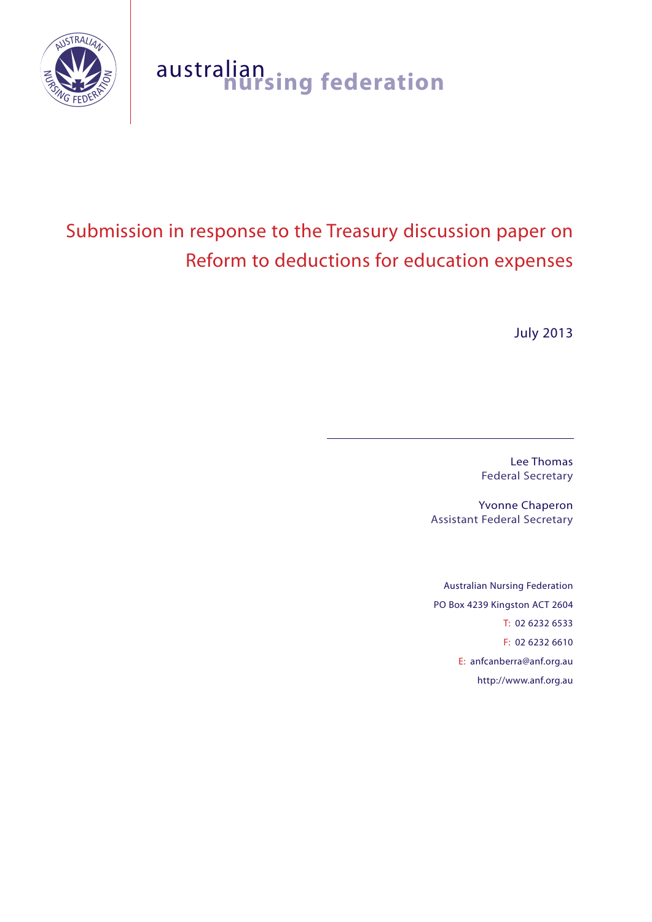

# australian **nursing federation**

# Submission in response to the Treasury discussion paper on Reform to deductions for education expenses

July 2013

Lee Thomas Federal Secretary

Yvonne Chaperon Assistant Federal Secretary

Australian Nursing Federation PO Box 4239 Kingston ACT 2604 T: 02 6232 6533 F: 02 6232 6610 E: anfcanberra@anf.org.au http://www.anf.org.au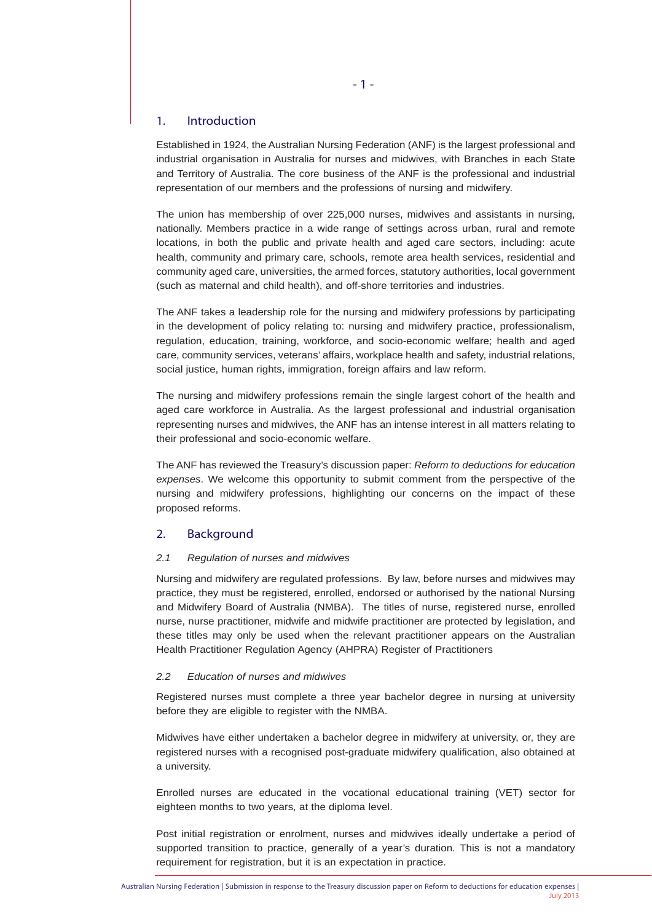# 1. Introduction

Established in 1924, the Australian Nursing Federation (ANF) is the largest professional and industrial organisation in Australia for nurses and midwives, with Branches in each State and Territory of Australia. The core business of the ANF is the professional and industrial representation of our members and the professions of nursing and midwifery.

The union has membership of over 225,000 nurses, midwives and assistants in nursing, nationally. Members practice in a wide range of settings across urban, rural and remote locations, in both the public and private health and aged care sectors, including: acute health, community and primary care, schools, remote area health services, residential and community aged care, universities, the armed forces, statutory authorities, local government (such as maternal and child health), and off-shore territories and industries.

The ANF takes a leadership role for the nursing and midwifery professions by participating in the development of policy relating to: nursing and midwifery practice, professionalism, regulation, education, training, workforce, and socio-economic welfare; health and aged care, community services, veterans' affairs, workplace health and safety, industrial relations, social justice, human rights, immigration, foreign affairs and law reform.

The nursing and midwifery professions remain the single largest cohort of the health and aged care workforce in Australia. As the largest professional and industrial organisation representing nurses and midwives, the ANF has an intense interest in all matters relating to their professional and socio-economic welfare.

The ANF has reviewed the Treasury's discussion paper: *Reform to deductions for education expenses*. We welcome this opportunity to submit comment from the perspective of the nursing and midwifery professions, highlighting our concerns on the impact of these proposed reforms.

# 2. Background

## *2.1 Regulation of nurses and midwives*

Nursing and midwifery are regulated professions. By law, before nurses and midwives may practice, they must be registered, enrolled, endorsed or authorised by the national Nursing and Midwifery Board of Australia (NMBA). The titles of nurse, registered nurse, enrolled nurse, nurse practitioner, midwife and midwife practitioner are protected by legislation, and these titles may only be used when the relevant practitioner appears on the Australian Health Practitioner Regulation Agency (AHPRA) Register of Practitioners

#### *2.2 Education of nurses and midwives*

Registered nurses must complete a three year bachelor degree in nursing at university before they are eligible to register with the NMBA.

Midwives have either undertaken a bachelor degree in midwifery at university, or, they are registered nurses with a recognised post-graduate midwifery qualification, also obtained at a university.

Enrolled nurses are educated in the vocational educational training (VET) sector for eighteen months to two years, at the diploma level.

Post initial registration or enrolment, nurses and midwives ideally undertake a period of supported transition to practice, generally of a year's duration. This is not a mandatory requirement for registration, but it is an expectation in practice.

- 1 -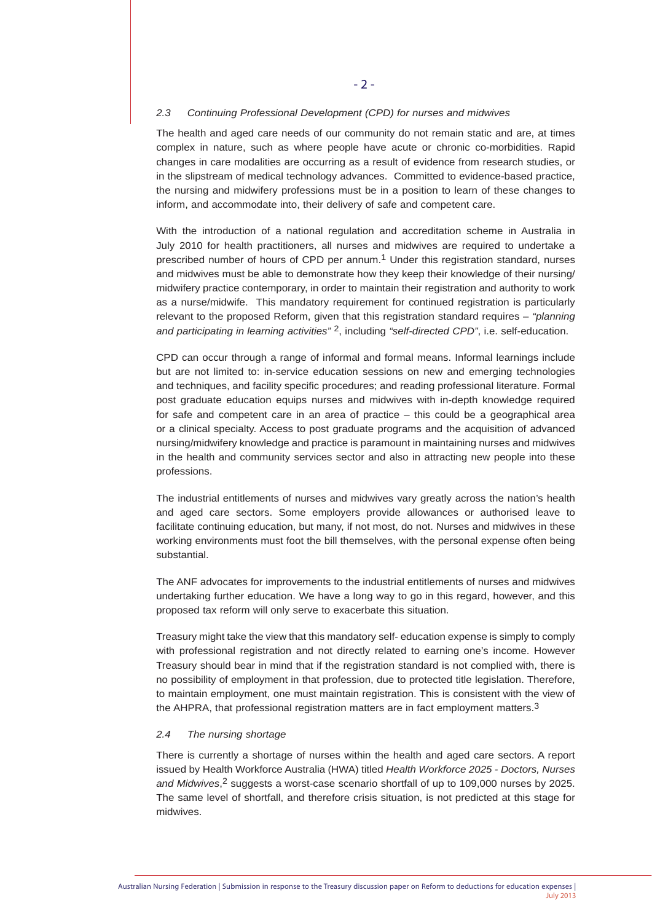#### *2.3 Continuing Professional Development (CPD) for nurses and midwives*

The health and aged care needs of our community do not remain static and are, at times complex in nature, such as where people have acute or chronic co-morbidities. Rapid changes in care modalities are occurring as a result of evidence from research studies, or in the slipstream of medical technology advances. Committed to evidence-based practice, the nursing and midwifery professions must be in a position to learn of these changes to inform, and accommodate into, their delivery of safe and competent care.

With the introduction of a national regulation and accreditation scheme in Australia in July 2010 for health practitioners, all nurses and midwives are required to undertake a prescribed number of hours of CPD per annum.1 Under this registration standard, nurses and midwives must be able to demonstrate how they keep their knowledge of their nursing/ midwifery practice contemporary, in order to maintain their registration and authority to work as a nurse/midwife. This mandatory requirement for continued registration is particularly relevant to the proposed Reform, given that this registration standard requires – *"planning and participating in learning activities"* 2, including *"self-directed CPD"*, i.e. self-education.

CPD can occur through a range of informal and formal means. Informal learnings include but are not limited to: in-service education sessions on new and emerging technologies and techniques, and facility specific procedures; and reading professional literature. Formal post graduate education equips nurses and midwives with in-depth knowledge required for safe and competent care in an area of practice – this could be a geographical area or a clinical specialty. Access to post graduate programs and the acquisition of advanced nursing/midwifery knowledge and practice is paramount in maintaining nurses and midwives in the health and community services sector and also in attracting new people into these professions.

The industrial entitlements of nurses and midwives vary greatly across the nation's health and aged care sectors. Some employers provide allowances or authorised leave to facilitate continuing education, but many, if not most, do not. Nurses and midwives in these working environments must foot the bill themselves, with the personal expense often being substantial.

The ANF advocates for improvements to the industrial entitlements of nurses and midwives undertaking further education. We have a long way to go in this regard, however, and this proposed tax reform will only serve to exacerbate this situation.

Treasury might take the view that this mandatory self- education expense is simply to comply with professional registration and not directly related to earning one's income. However Treasury should bear in mind that if the registration standard is not complied with, there is no possibility of employment in that profession, due to protected title legislation. Therefore, to maintain employment, one must maintain registration. This is consistent with the view of the AHPRA, that professional registration matters are in fact employment matters. $3$ 

#### *2.4 The nursing shortage*

There is currently a shortage of nurses within the health and aged care sectors. A report issued by Health Workforce Australia (HWA) titled *Health Workforce 2025 - Doctors, Nurses and Midwives*, 2 suggests a worst-case scenario shortfall of up to 109,000 nurses by 2025. The same level of shortfall, and therefore crisis situation, is not predicted at this stage for midwives.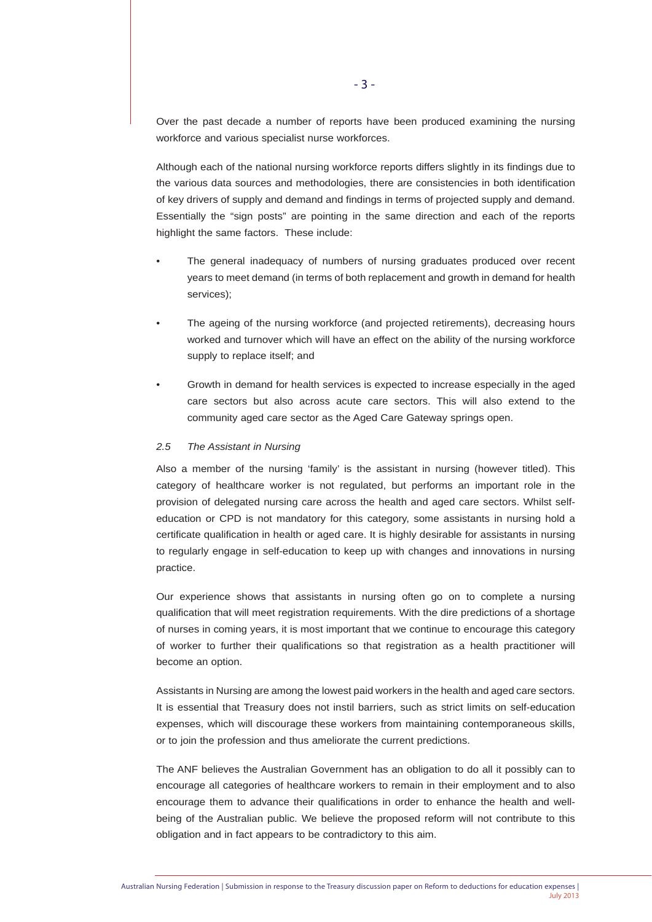Over the past decade a number of reports have been produced examining the nursing workforce and various specialist nurse workforces.

Although each of the national nursing workforce reports differs slightly in its findings due to the various data sources and methodologies, there are consistencies in both identification of key drivers of supply and demand and findings in terms of projected supply and demand. Essentially the "sign posts" are pointing in the same direction and each of the reports highlight the same factors. These include:

- The general inadequacy of numbers of nursing graduates produced over recent years to meet demand (in terms of both replacement and growth in demand for health services);
- The ageing of the nursing workforce (and projected retirements), decreasing hours worked and turnover which will have an effect on the ability of the nursing workforce supply to replace itself; and
- Growth in demand for health services is expected to increase especially in the aged care sectors but also across acute care sectors. This will also extend to the community aged care sector as the Aged Care Gateway springs open.

#### *2.5 The Assistant in Nursing*

Also a member of the nursing 'family' is the assistant in nursing (however titled). This category of healthcare worker is not regulated, but performs an important role in the provision of delegated nursing care across the health and aged care sectors. Whilst selfeducation or CPD is not mandatory for this category, some assistants in nursing hold a certificate qualification in health or aged care. It is highly desirable for assistants in nursing to regularly engage in self-education to keep up with changes and innovations in nursing practice.

Our experience shows that assistants in nursing often go on to complete a nursing qualification that will meet registration requirements. With the dire predictions of a shortage of nurses in coming years, it is most important that we continue to encourage this category of worker to further their qualifications so that registration as a health practitioner will become an option.

Assistants in Nursing are among the lowest paid workers in the health and aged care sectors. It is essential that Treasury does not instil barriers, such as strict limits on self-education expenses, which will discourage these workers from maintaining contemporaneous skills, or to join the profession and thus ameliorate the current predictions.

The ANF believes the Australian Government has an obligation to do all it possibly can to encourage all categories of healthcare workers to remain in their employment and to also encourage them to advance their qualifications in order to enhance the health and wellbeing of the Australian public. We believe the proposed reform will not contribute to this obligation and in fact appears to be contradictory to this aim.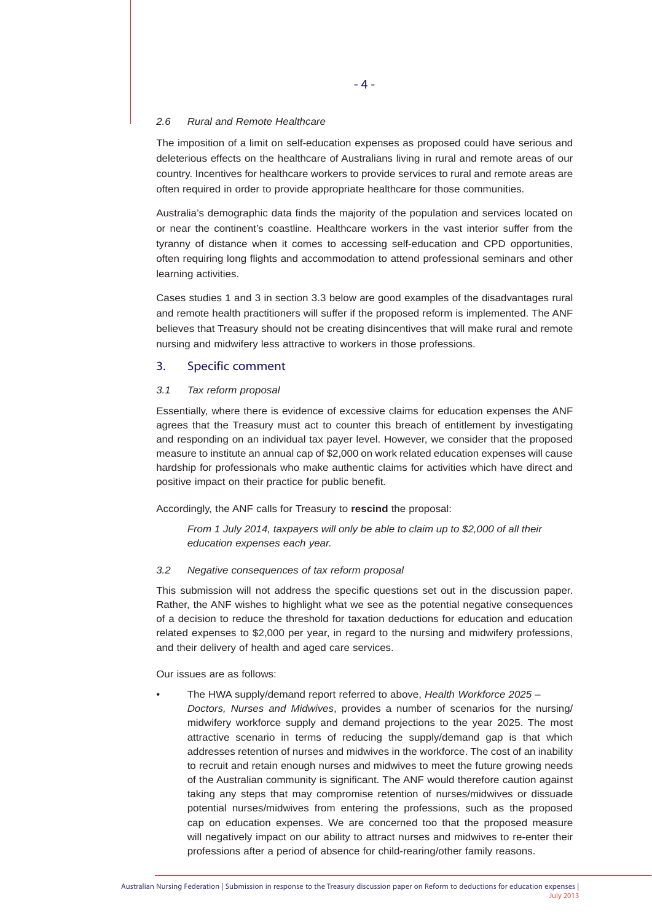#### *2.6 Rural and Remote Healthcare*

The imposition of a limit on self-education expenses as proposed could have serious and deleterious effects on the healthcare of Australians living in rural and remote areas of our country. Incentives for healthcare workers to provide services to rural and remote areas are often required in order to provide appropriate healthcare for those communities.

Australia's demographic data finds the majority of the population and services located on or near the continent's coastline. Healthcare workers in the vast interior suffer from the tyranny of distance when it comes to accessing self-education and CPD opportunities, often requiring long flights and accommodation to attend professional seminars and other learning activities.

Cases studies 1 and 3 in section 3.3 below are good examples of the disadvantages rural and remote health practitioners will suffer if the proposed reform is implemented. The ANF believes that Treasury should not be creating disincentives that will make rural and remote nursing and midwifery less attractive to workers in those professions.

# 3. Specific comment

### *3.1 Tax reform proposal*

Essentially, where there is evidence of excessive claims for education expenses the ANF agrees that the Treasury must act to counter this breach of entitlement by investigating and responding on an individual tax payer level. However, we consider that the proposed measure to institute an annual cap of \$2,000 on work related education expenses will cause hardship for professionals who make authentic claims for activities which have direct and positive impact on their practice for public benefit.

Accordingly, the ANF calls for Treasury to **rescind** the proposal:

*From 1 July 2014, taxpayers will only be able to claim up to \$2,000 of all their education expenses each year.*

### *3.2 Negative consequences of tax reform proposal*

This submission will not address the specific questions set out in the discussion paper. Rather, the ANF wishes to highlight what we see as the potential negative consequences of a decision to reduce the threshold for taxation deductions for education and education related expenses to \$2,000 per year, in regard to the nursing and midwifery professions, and their delivery of health and aged care services.

Our issues are as follows:

- The HWA supply/demand report referred to above, *Health Workforce 2025 –*
	- *Doctors, Nurses and Midwives*, provides a number of scenarios for the nursing/ midwifery workforce supply and demand projections to the year 2025. The most attractive scenario in terms of reducing the supply/demand gap is that which addresses retention of nurses and midwives in the workforce. The cost of an inability to recruit and retain enough nurses and midwives to meet the future growing needs of the Australian community is significant. The ANF would therefore caution against taking any steps that may compromise retention of nurses/midwives or dissuade potential nurses/midwives from entering the professions, such as the proposed cap on education expenses. We are concerned too that the proposed measure will negatively impact on our ability to attract nurses and midwives to re-enter their professions after a period of absence for child-rearing/other family reasons.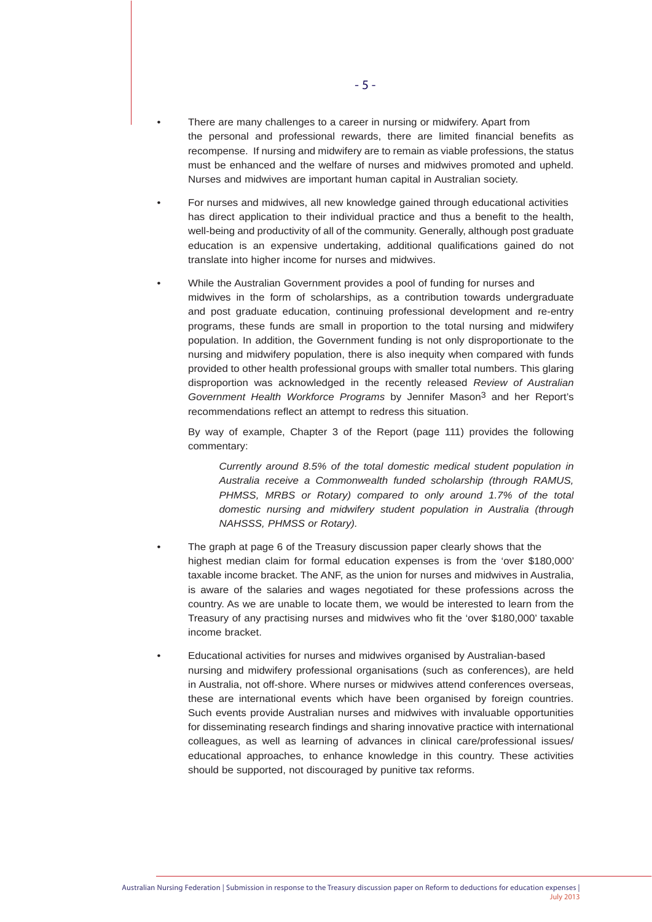- There are many challenges to a career in nursing or midwifery. Apart from the personal and professional rewards, there are limited financial benefits as recompense. If nursing and midwifery are to remain as viable professions, the status must be enhanced and the welfare of nurses and midwives promoted and upheld. Nurses and midwives are important human capital in Australian society.
- For nurses and midwives, all new knowledge gained through educational activities has direct application to their individual practice and thus a benefit to the health, well-being and productivity of all of the community. Generally, although post graduate education is an expensive undertaking, additional qualifications gained do not translate into higher income for nurses and midwives.
- While the Australian Government provides a pool of funding for nurses and midwives in the form of scholarships, as a contribution towards undergraduate and post graduate education, continuing professional development and re-entry programs, these funds are small in proportion to the total nursing and midwifery population. In addition, the Government funding is not only disproportionate to the nursing and midwifery population, there is also inequity when compared with funds provided to other health professional groups with smaller total numbers. This glaring disproportion was acknowledged in the recently released *Review of Australian Government Health Workforce Programs* by Jennifer Mason3 and her Report's recommendations reflect an attempt to redress this situation.

By way of example, Chapter 3 of the Report (page 111) provides the following commentary:

*Currently around 8.5% of the total domestic medical student population in Australia receive a Commonwealth funded scholarship (through RAMUS, PHMSS, MRBS or Rotary) compared to only around 1.7% of the total domestic nursing and midwifery student population in Australia (through NAHSSS, PHMSS or Rotary).*

- The graph at page 6 of the Treasury discussion paper clearly shows that the highest median claim for formal education expenses is from the 'over \$180,000' taxable income bracket. The ANF, as the union for nurses and midwives in Australia, is aware of the salaries and wages negotiated for these professions across the country. As we are unable to locate them, we would be interested to learn from the Treasury of any practising nurses and midwives who fit the 'over \$180,000' taxable income bracket.
- Educational activities for nurses and midwives organised by Australian-based nursing and midwifery professional organisations (such as conferences), are held in Australia, not off-shore. Where nurses or midwives attend conferences overseas, these are international events which have been organised by foreign countries. Such events provide Australian nurses and midwives with invaluable opportunities for disseminating research findings and sharing innovative practice with international colleagues, as well as learning of advances in clinical care/professional issues/ educational approaches, to enhance knowledge in this country. These activities should be supported, not discouraged by punitive tax reforms.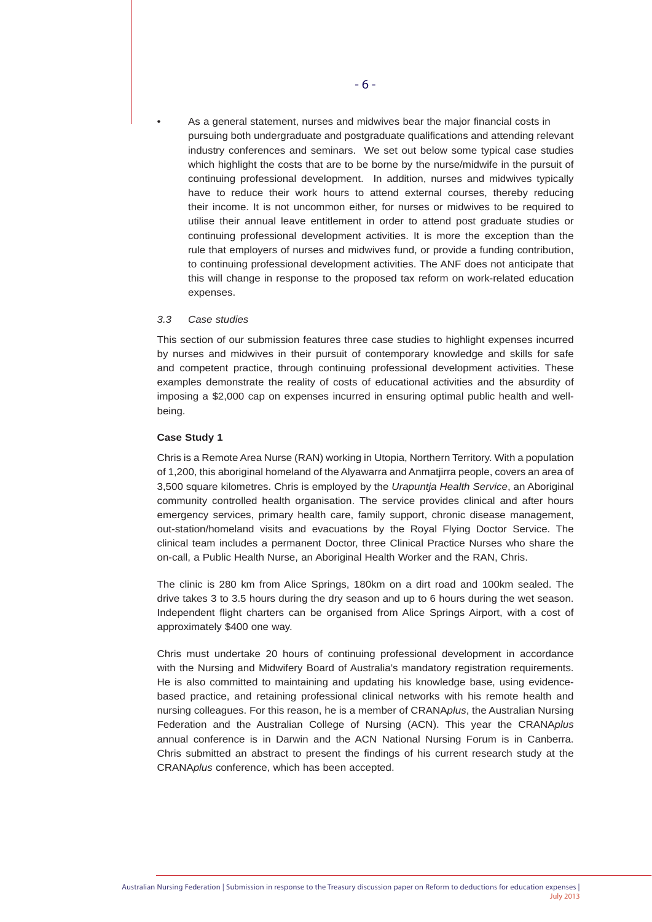• As a general statement, nurses and midwives bear the major financial costs in pursuing both undergraduate and postgraduate qualifications and attending relevant industry conferences and seminars. We set out below some typical case studies which highlight the costs that are to be borne by the nurse/midwife in the pursuit of continuing professional development. In addition, nurses and midwives typically have to reduce their work hours to attend external courses, thereby reducing their income. It is not uncommon either, for nurses or midwives to be required to utilise their annual leave entitlement in order to attend post graduate studies or continuing professional development activities. It is more the exception than the rule that employers of nurses and midwives fund, or provide a funding contribution, to continuing professional development activities. The ANF does not anticipate that this will change in response to the proposed tax reform on work-related education expenses.

#### *3.3 Case studies*

This section of our submission features three case studies to highlight expenses incurred by nurses and midwives in their pursuit of contemporary knowledge and skills for safe and competent practice, through continuing professional development activities. These examples demonstrate the reality of costs of educational activities and the absurdity of imposing a \$2,000 cap on expenses incurred in ensuring optimal public health and wellbeing.

### **Case Study 1**

Chris is a Remote Area Nurse (RAN) working in Utopia, Northern Territory. With a population of 1,200, this aboriginal homeland of the Alyawarra and Anmatjirra people, covers an area of 3,500 square kilometres. Chris is employed by the *Urapuntja Health Service*, an Aboriginal community controlled health organisation. The service provides clinical and after hours emergency services, primary health care, family support, chronic disease management, out-station/homeland visits and evacuations by the Royal Flying Doctor Service. The clinical team includes a permanent Doctor, three Clinical Practice Nurses who share the on-call, a Public Health Nurse, an Aboriginal Health Worker and the RAN, Chris.

The clinic is 280 km from Alice Springs, 180km on a dirt road and 100km sealed. The drive takes 3 to 3.5 hours during the dry season and up to 6 hours during the wet season. Independent flight charters can be organised from Alice Springs Airport, with a cost of approximately \$400 one way.

Chris must undertake 20 hours of continuing professional development in accordance with the Nursing and Midwifery Board of Australia's mandatory registration requirements. He is also committed to maintaining and updating his knowledge base, using evidencebased practice, and retaining professional clinical networks with his remote health and nursing colleagues. For this reason, he is a member of CRANA*plus*, the Australian Nursing Federation and the Australian College of Nursing (ACN). This year the CRANA*plus* annual conference is in Darwin and the ACN National Nursing Forum is in Canberra. Chris submitted an abstract to present the findings of his current research study at the CRANA*plus* conference, which has been accepted.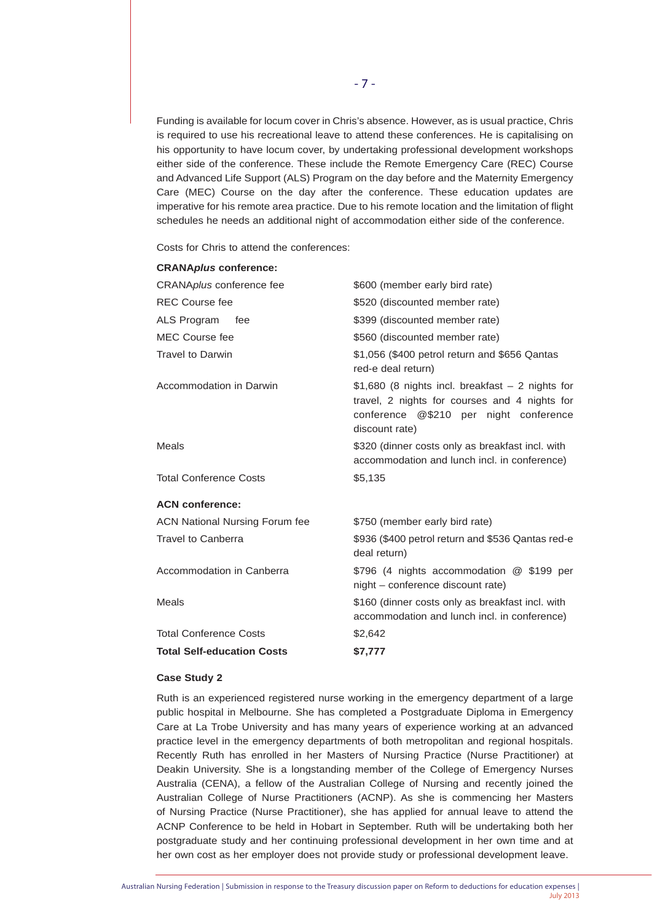Funding is available for locum cover in Chris's absence. However, as is usual practice, Chris is required to use his recreational leave to attend these conferences. He is capitalising on his opportunity to have locum cover, by undertaking professional development workshops either side of the conference. These include the Remote Emergency Care (REC) Course and Advanced Life Support (ALS) Program on the day before and the Maternity Emergency Care (MEC) Course on the day after the conference. These education updates are imperative for his remote area practice. Due to his remote location and the limitation of flight schedules he needs an additional night of accommodation either side of the conference.

Costs for Chris to attend the conferences:

**CRANA***plus* **conference:**

| <b>CRANA<i>pius</i></b> conference:   |                                                                                                                                                                 |
|---------------------------------------|-----------------------------------------------------------------------------------------------------------------------------------------------------------------|
| CRANA <i>plus</i> conference fee      | \$600 (member early bird rate)                                                                                                                                  |
| <b>REC Course fee</b>                 | \$520 (discounted member rate)                                                                                                                                  |
| ALS Program<br>fee                    | \$399 (discounted member rate)                                                                                                                                  |
| <b>MEC Course fee</b>                 | \$560 (discounted member rate)                                                                                                                                  |
| <b>Travel to Darwin</b>               | \$1,056 (\$400 petrol return and \$656 Qantas<br>red-e deal return)                                                                                             |
| Accommodation in Darwin               | $$1,680$ (8 nights incl. breakfast $-2$ nights for<br>travel, 2 nights for courses and 4 nights for<br>conference @\$210 per night conference<br>discount rate) |
| <b>Meals</b>                          | \$320 (dinner costs only as breakfast incl. with<br>accommodation and lunch incl. in conference)                                                                |
| <b>Total Conference Costs</b>         | \$5,135                                                                                                                                                         |
| <b>ACN conference:</b>                |                                                                                                                                                                 |
| <b>ACN National Nursing Forum fee</b> | \$750 (member early bird rate)                                                                                                                                  |
| <b>Travel to Canberra</b>             | \$936 (\$400 petrol return and \$536 Qantas red-e<br>deal return)                                                                                               |
| Accommodation in Canberra             | \$796 (4 nights accommodation @ \$199 per<br>night - conference discount rate)                                                                                  |
| <b>Meals</b>                          | \$160 (dinner costs only as breakfast incl. with<br>accommodation and lunch incl. in conference)                                                                |
| <b>Total Conference Costs</b>         | \$2,642                                                                                                                                                         |
| <b>Total Self-education Costs</b>     | \$7,777                                                                                                                                                         |
|                                       |                                                                                                                                                                 |

# **Case Study 2**

Ruth is an experienced registered nurse working in the emergency department of a large public hospital in Melbourne. She has completed a Postgraduate Diploma in Emergency Care at La Trobe University and has many years of experience working at an advanced practice level in the emergency departments of both metropolitan and regional hospitals. Recently Ruth has enrolled in her Masters of Nursing Practice (Nurse Practitioner) at Deakin University. She is a longstanding member of the College of Emergency Nurses Australia (CENA), a fellow of the Australian College of Nursing and recently joined the Australian College of Nurse Practitioners (ACNP). As she is commencing her Masters of Nursing Practice (Nurse Practitioner), she has applied for annual leave to attend the ACNP Conference to be held in Hobart in September. Ruth will be undertaking both her postgraduate study and her continuing professional development in her own time and at her own cost as her employer does not provide study or professional development leave.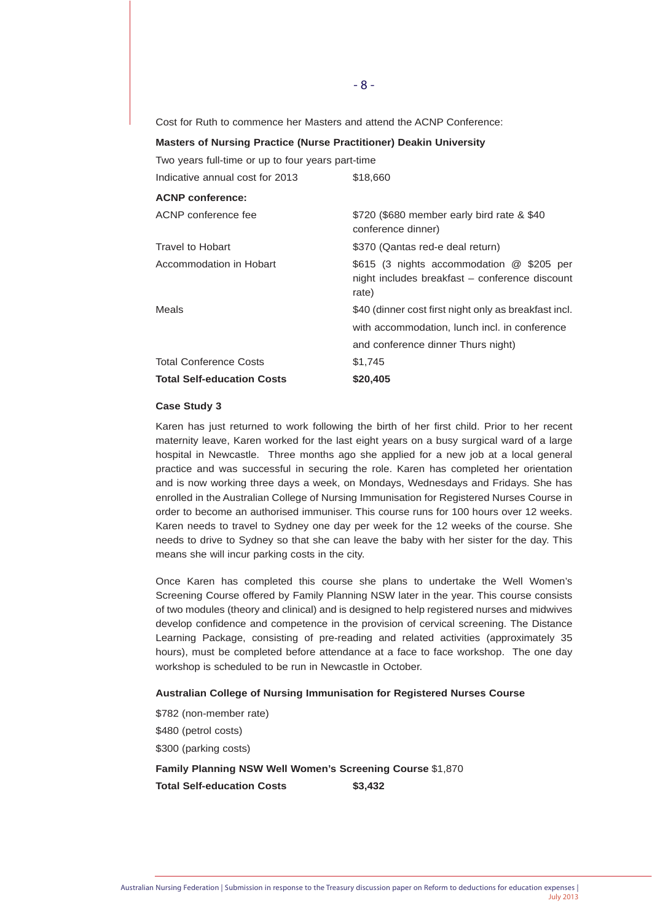Cost for Ruth to commence her Masters and attend the ACNP Conference:

| <b>Masters of Nursing Practice (Nurse Practitioner) Deakin University</b> |                                                                                                      |
|---------------------------------------------------------------------------|------------------------------------------------------------------------------------------------------|
| Two years full-time or up to four years part-time                         |                                                                                                      |
| Indicative annual cost for 2013                                           | \$18,660                                                                                             |
| <b>ACNP</b> conference:                                                   |                                                                                                      |
| ACNP conference fee                                                       | \$720 (\$680 member early bird rate & \$40<br>conference dinner)                                     |
| Travel to Hobart                                                          | \$370 (Qantas red-e deal return)                                                                     |
| Accommodation in Hobart                                                   | \$615 (3 nights accommodation @ \$205 per<br>night includes breakfast – conference discount<br>rate) |
| Meals                                                                     | \$40 (dinner cost first night only as breakfast incl.                                                |
|                                                                           | with accommodation, lunch incl. in conference                                                        |
|                                                                           | and conference dinner Thurs night)                                                                   |
| <b>Total Conference Costs</b>                                             | \$1,745                                                                                              |
| <b>Total Self-education Costs</b>                                         | \$20,405                                                                                             |

#### **Case Study 3**

Karen has just returned to work following the birth of her first child. Prior to her recent maternity leave, Karen worked for the last eight years on a busy surgical ward of a large hospital in Newcastle. Three months ago she applied for a new job at a local general practice and was successful in securing the role. Karen has completed her orientation and is now working three days a week, on Mondays, Wednesdays and Fridays. She has enrolled in the Australian College of Nursing Immunisation for Registered Nurses Course in order to become an authorised immuniser. This course runs for 100 hours over 12 weeks. Karen needs to travel to Sydney one day per week for the 12 weeks of the course. She needs to drive to Sydney so that she can leave the baby with her sister for the day. This means she will incur parking costs in the city.

Once Karen has completed this course she plans to undertake the Well Women's Screening Course offered by Family Planning NSW later in the year. This course consists of two modules (theory and clinical) and is designed to help registered nurses and midwives develop confidence and competence in the provision of cervical screening. The Distance Learning Package, consisting of pre-reading and related activities (approximately 35 hours), must be completed before attendance at a face to face workshop. The one day workshop is scheduled to be run in Newcastle in October.

#### **Australian College of Nursing Immunisation for Registered Nurses Course**

\$782 (non-member rate) \$480 (petrol costs) \$300 (parking costs) **Family Planning NSW Well Women's Screening Course** \$1,870

**Total Self-education Costs \$3,432**